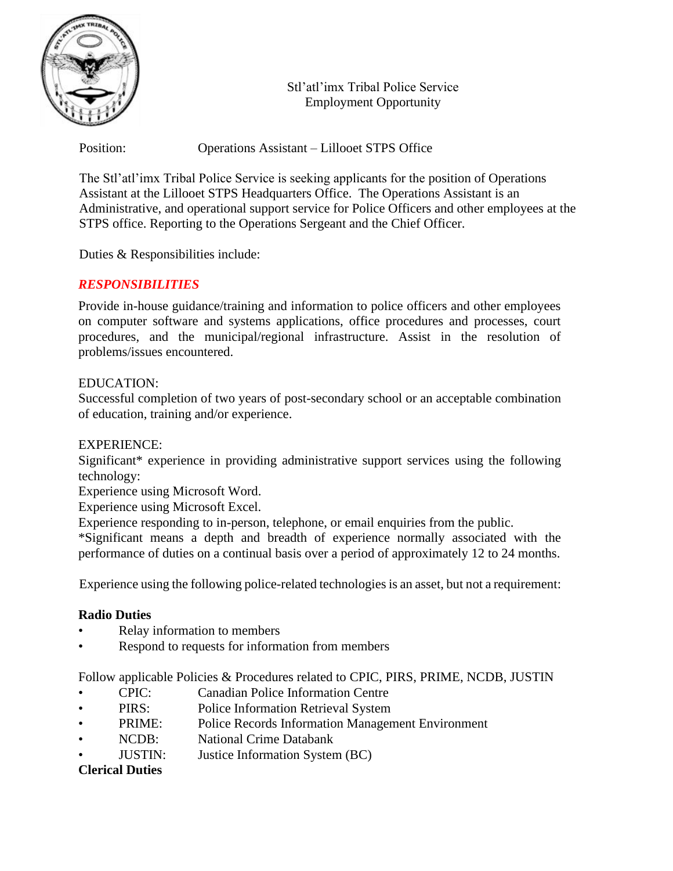

Stl'atl'imx Tribal Police Service Employment Opportunity

Position: Operations Assistant – Lillooet STPS Office

The Stl'atl'imx Tribal Police Service is seeking applicants for the position of Operations Assistant at the Lillooet STPS Headquarters Office. The Operations Assistant is an Administrative, and operational support service for Police Officers and other employees at the STPS office. Reporting to the Operations Sergeant and the Chief Officer.

Duties & Responsibilities include:

# *RESPONSIBILITIES*

Provide in-house guidance/training and information to police officers and other employees on computer software and systems applications, office procedures and processes, court procedures, and the municipal/regional infrastructure. Assist in the resolution of problems/issues encountered.

#### EDUCATION:

Successful completion of two years of post-secondary school or an acceptable combination of education, training and/or experience.

EXPERIENCE:

Significant\* experience in providing administrative support services using the following technology:

Experience using Microsoft Word.

Experience using Microsoft Excel.

Experience responding to in-person, telephone, or email enquiries from the public.

\*Significant means a depth and breadth of experience normally associated with the performance of duties on a continual basis over a period of approximately 12 to 24 months.

Experience using the following police-related technologies is an asset, but not a requirement:

## **Radio Duties**

- Relay information to members
- Respond to requests for information from members

Follow applicable Policies & Procedures related to CPIC, PIRS, PRIME, NCDB, JUSTIN

- CPIC: Canadian Police Information Centre
- PIRS: Police Information Retrieval System
- PRIME: Police Records Information Management Environment
- NCDB: National Crime Databank
- JUSTIN: Justice Information System (BC)

## **Clerical Duties**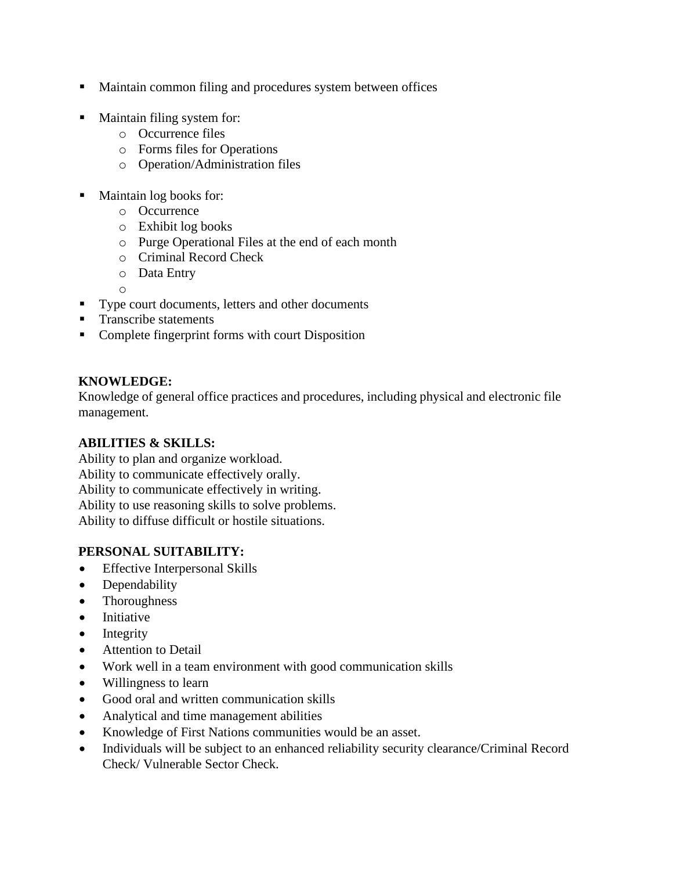- Maintain common filing and procedures system between offices
- Maintain filing system for:
	- o Occurrence files
	- o Forms files for Operations
	- o Operation/Administration files
- Maintain log books for:
	- o Occurrence
	- o Exhibit log books
	- o Purge Operational Files at the end of each month
	- o Criminal Record Check
	- o Data Entry
	- o
- Type court documents, letters and other documents
- **Transcribe statements**
- Complete fingerprint forms with court Disposition

#### **KNOWLEDGE:**

Knowledge of general office practices and procedures, including physical and electronic file management.

#### **ABILITIES & SKILLS:**

Ability to plan and organize workload. Ability to communicate effectively orally. Ability to communicate effectively in writing. Ability to use reasoning skills to solve problems. Ability to diffuse difficult or hostile situations.

## **PERSONAL SUITABILITY:**

- Effective Interpersonal Skills
- Dependability
- Thoroughness
- Initiative
- Integrity
- Attention to Detail
- Work well in a team environment with good communication skills
- Willingness to learn
- Good oral and written communication skills
- Analytical and time management abilities
- Knowledge of First Nations communities would be an asset.
- Individuals will be subject to an enhanced reliability security clearance/Criminal Record Check/ Vulnerable Sector Check.